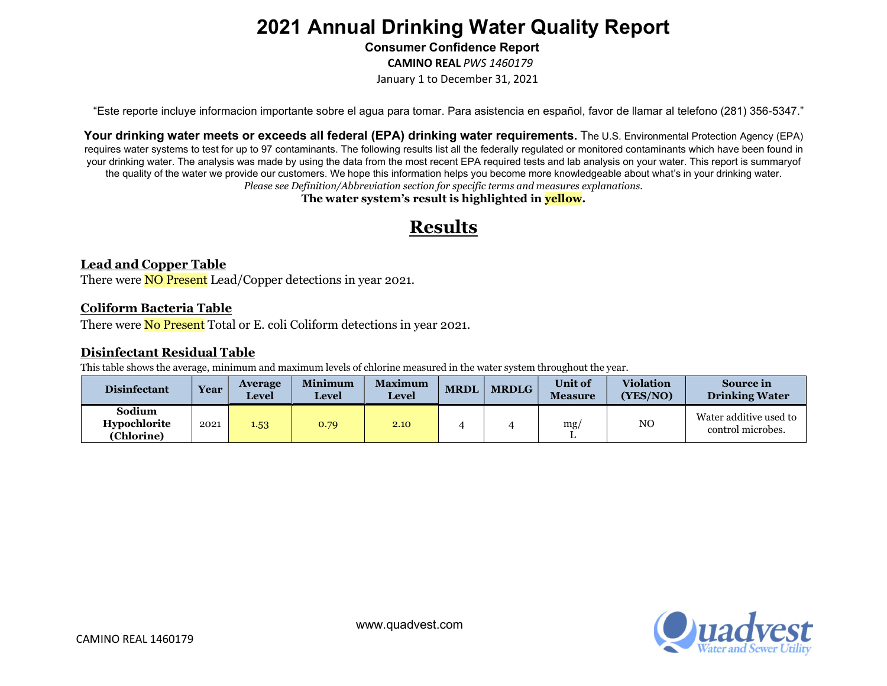Consumer Confidence Report

CAMINO REAL PWS 1460179

January 1 to December 31, 2021

"Este reporte incluye informacion importante sobre el agua para tomar. Para asistencia en español, favor de llamar al telefono (281) 356-5347."

Your drinking water meets or exceeds all federal (EPA) drinking water requirements. The U.S. Environmental Protection Agency (EPA) requires water systems to test for up to 97 contaminants. The following results list all the federally regulated or monitored contaminants which have been found in your drinking water. The analysis was made by using the data from the most recent EPA required tests and lab analysis on your water. This report is summary of the quality of the water we provide our customers. We hope this information helps you become more knowledgeable about what's in your drinking water. Please see Definition/Abbreviation section for specific terms and measures explanations.

The water system's result is highlighted in **yellow**.

# Results

### Lead and Copper Table

There were **NO Present** Lead/Copper detections in year 2021.

#### Coliform Bacteria Table

There were **No Present** Total or E. coli Coliform detections in year 2021.

#### Disinfectant Residual Table

This table shows the average, minimum and maximum levels of chlorine measured in the water system throughout the year.

| <b>Disinfectant</b>                  | <b>Year</b> | <b>Average</b><br><b>Level</b> | <b>Minimum</b><br><b>Level</b> | <b>Maximum</b><br><b>Level</b> | <b>MRDL</b> | <b>MRDLG</b> | Unit of<br><b>Measure</b> | <b>Violation</b><br>(YES/NO) | Source in<br><b>Drinking Water</b>          |
|--------------------------------------|-------------|--------------------------------|--------------------------------|--------------------------------|-------------|--------------|---------------------------|------------------------------|---------------------------------------------|
| Sodium<br>Hypochlorite<br>(Chlorine) | 2021        | 1.53                           | 0.79                           | 2.10                           |             |              | mg/                       | NO                           | Water additive used to<br>control microbes. |

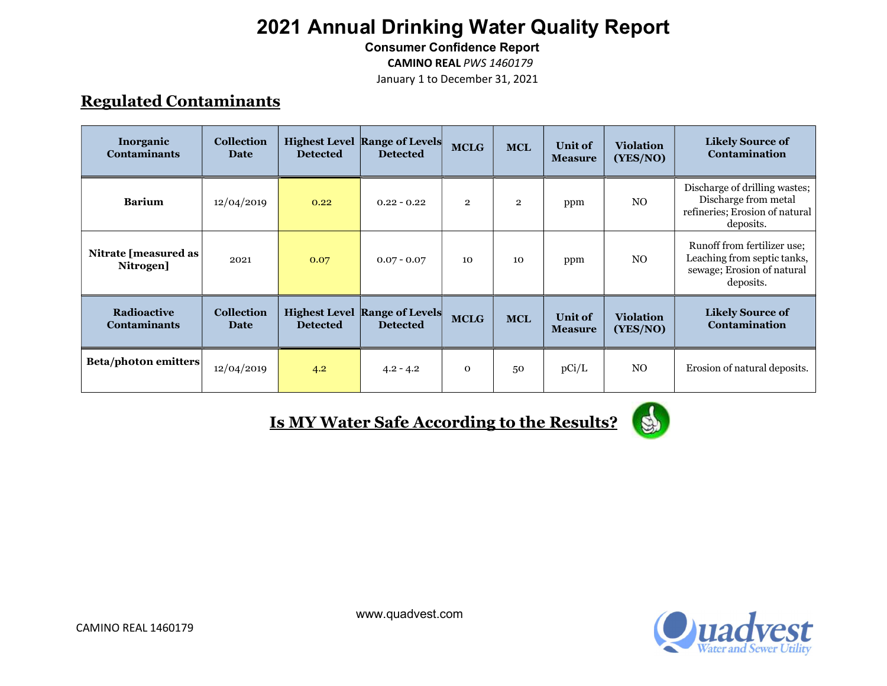Consumer Confidence Report

CAMINO REAL PWS 1460179

January 1 to December 31, 2021

## Regulated Contaminants

| Inorganic<br><b>Contaminants</b>          | <b>Collection</b><br>Date        | <b>Detected</b> | <b>Highest Level Range of Levels</b><br><b>Detected</b> | <b>MCLG</b>    | <b>MCL</b>   | Unit of<br><b>Measure</b>        | <b>Violation</b><br>(YES/NO) | <b>Likely Source of</b><br>Contamination                                                              |
|-------------------------------------------|----------------------------------|-----------------|---------------------------------------------------------|----------------|--------------|----------------------------------|------------------------------|-------------------------------------------------------------------------------------------------------|
| <b>Barium</b>                             | 12/04/2019                       | 0.22            | $0.22 - 0.22$                                           | $\overline{2}$ | $\mathbf{2}$ | ppm                              | N <sub>O</sub>               | Discharge of drilling wastes;<br>Discharge from metal<br>refineries; Erosion of natural<br>deposits.  |
| Nitrate [measured as<br>Nitrogen]         | 2021                             | 0.07            | $0.07 - 0.07$                                           | 10             | 10           | ppm                              | N <sub>O</sub>               | Runoff from fertilizer use;<br>Leaching from septic tanks,<br>sewage; Erosion of natural<br>deposits. |
| <b>Radioactive</b><br><b>Contaminants</b> | <b>Collection</b><br><b>Date</b> | <b>Detected</b> | <b>Highest Level Range of Levels</b><br><b>Detected</b> | <b>MCLG</b>    | <b>MCL</b>   | <b>Unit of</b><br><b>Measure</b> | <b>Violation</b><br>(YES/NO) | <b>Likely Source of</b><br>Contamination                                                              |
| <b>Beta/photon emitters</b>               | 12/04/2019                       | 4.2             | $4.2 - 4.2$                                             | $\mathbf{o}$   | 50           | pCi/L                            | NO.                          | Erosion of natural deposits.                                                                          |

Is MY Water Safe According to the Results?



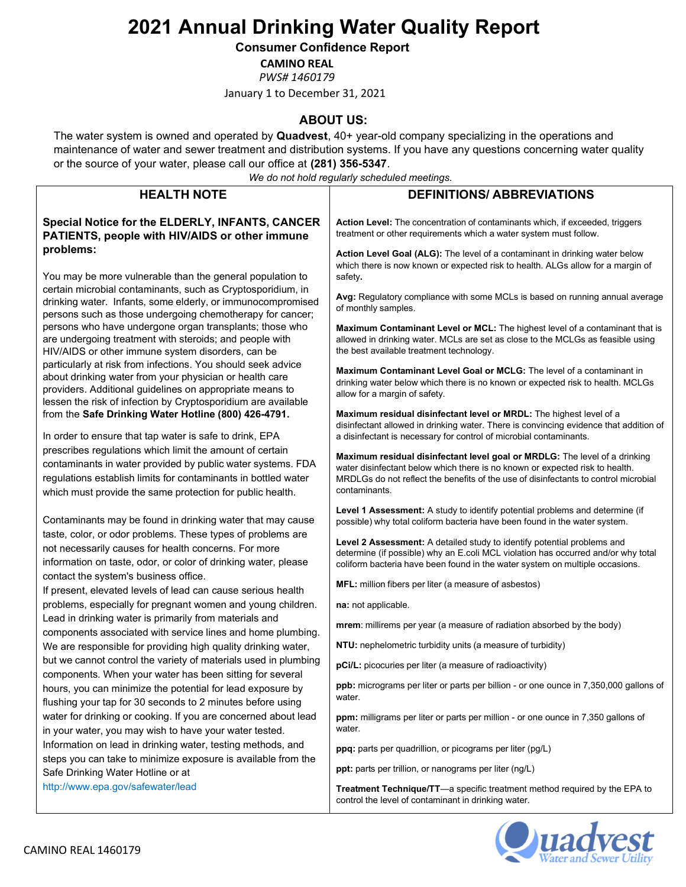#### Consumer Confidence Report

CAMINO REAL

PWS# 1460179

January 1 to December 31, 2021

### ABOUT US:

The water system is owned and operated by Quadvest, 40+ year-old company specializing in the operations and maintenance of water and sewer treatment and distribution systems. If you have any questions concerning water quality or the source of your water, please call our office at (281) 356-5347.

We do not hold regularly scheduled meetings.

|                                                                                                                                                                                                                                                        | we ao not nola regulariy scrieduled meetings.                                                                                                                                                                                                                      |
|--------------------------------------------------------------------------------------------------------------------------------------------------------------------------------------------------------------------------------------------------------|--------------------------------------------------------------------------------------------------------------------------------------------------------------------------------------------------------------------------------------------------------------------|
| <b>HEALTH NOTE</b>                                                                                                                                                                                                                                     | <b>DEFINITIONS/ ABBREVIATIONS</b>                                                                                                                                                                                                                                  |
| Special Notice for the ELDERLY, INFANTS, CANCER<br>PATIENTS, people with HIV/AIDS or other immune                                                                                                                                                      | Action Level: The concentration of contaminants which, if exceeded, triggers<br>treatment or other requirements which a water system must follow.                                                                                                                  |
| problems:<br>You may be more vulnerable than the general population to                                                                                                                                                                                 | Action Level Goal (ALG): The level of a contaminant in drinking water below<br>which there is now known or expected risk to health. ALGs allow for a margin of<br>safety.                                                                                          |
| certain microbial contaminants, such as Cryptosporidium, in<br>drinking water. Infants, some elderly, or immunocompromised<br>persons such as those undergoing chemotherapy for cancer;                                                                | Avg: Regulatory compliance with some MCLs is based on running annual average<br>of monthly samples.                                                                                                                                                                |
| persons who have undergone organ transplants; those who<br>are undergoing treatment with steroids; and people with<br>HIV/AIDS or other immune system disorders, can be                                                                                | Maximum Contaminant Level or MCL: The highest level of a contaminant that is<br>allowed in drinking water. MCLs are set as close to the MCLGs as feasible using<br>the best available treatment technology.                                                        |
| particularly at risk from infections. You should seek advice<br>about drinking water from your physician or health care<br>providers. Additional guidelines on appropriate means to<br>lessen the risk of infection by Cryptosporidium are available   | <b>Maximum Contaminant Level Goal or MCLG:</b> The level of a contaminant in<br>drinking water below which there is no known or expected risk to health. MCLGs<br>allow for a margin of safety.                                                                    |
| from the Safe Drinking Water Hotline (800) 426-4791.<br>In order to ensure that tap water is safe to drink, EPA                                                                                                                                        | Maximum residual disinfectant level or MRDL: The highest level of a<br>disinfectant allowed in drinking water. There is convincing evidence that addition of<br>a disinfectant is necessary for control of microbial contaminants.                                 |
| prescribes regulations which limit the amount of certain<br>contaminants in water provided by public water systems. FDA<br>regulations establish limits for contaminants in bottled water<br>which must provide the same protection for public health. | Maximum residual disinfectant level goal or MRDLG: The level of a drinking<br>water disinfectant below which there is no known or expected risk to health.<br>MRDLGs do not reflect the benefits of the use of disinfectants to control microbial<br>contaminants. |
| Contaminants may be found in drinking water that may cause                                                                                                                                                                                             | Level 1 Assessment: A study to identify potential problems and determine (if<br>possible) why total coliform bacteria have been found in the water system.                                                                                                         |
| taste, color, or odor problems. These types of problems are<br>not necessarily causes for health concerns. For more<br>information on taste, odor, or color of drinking water, please                                                                  | Level 2 Assessment: A detailed study to identify potential problems and<br>determine (if possible) why an E.coli MCL violation has occurred and/or why total<br>coliform bacteria have been found in the water system on multiple occasions.                       |
| contact the system's business office.<br>If present, elevated levels of lead can cause serious health                                                                                                                                                  | <b>MFL:</b> million fibers per liter (a measure of asbestos)                                                                                                                                                                                                       |
| problems, especially for pregnant women and young children.                                                                                                                                                                                            | na: not applicable.                                                                                                                                                                                                                                                |
| Lead in drinking water is primarily from materials and<br>components associated with service lines and home plumbing.                                                                                                                                  | mrem: millirems per year (a measure of radiation absorbed by the body)                                                                                                                                                                                             |
| We are responsible for providing high quality drinking water,                                                                                                                                                                                          | NTU: nephelometric turbidity units (a measure of turbidity)                                                                                                                                                                                                        |
| but we cannot control the variety of materials used in plumbing<br>components. When your water has been sitting for several                                                                                                                            | pCi/L: picocuries per liter (a measure of radioactivity)                                                                                                                                                                                                           |
| hours, you can minimize the potential for lead exposure by<br>flushing your tap for 30 seconds to 2 minutes before using                                                                                                                               | <b>ppb:</b> micrograms per liter or parts per billion - or one ounce in 7,350,000 gallons of<br>water.                                                                                                                                                             |
| water for drinking or cooking. If you are concerned about lead<br>in your water, you may wish to have your water tested.                                                                                                                               | ppm: milligrams per liter or parts per million - or one ounce in 7,350 gallons of<br>water.                                                                                                                                                                        |
| Information on lead in drinking water, testing methods, and                                                                                                                                                                                            | ppq: parts per quadrillion, or picograms per liter (pg/L)                                                                                                                                                                                                          |
| steps you can take to minimize exposure is available from the<br>Safe Drinking Water Hotline or at                                                                                                                                                     | ppt: parts per trillion, or nanograms per liter (ng/L)                                                                                                                                                                                                             |
| http://www.epa.gov/safewater/lead                                                                                                                                                                                                                      | Treatment Technique/TT-a specific treatment method required by the EPA to<br>control the level of contaminant in drinking water.                                                                                                                                   |

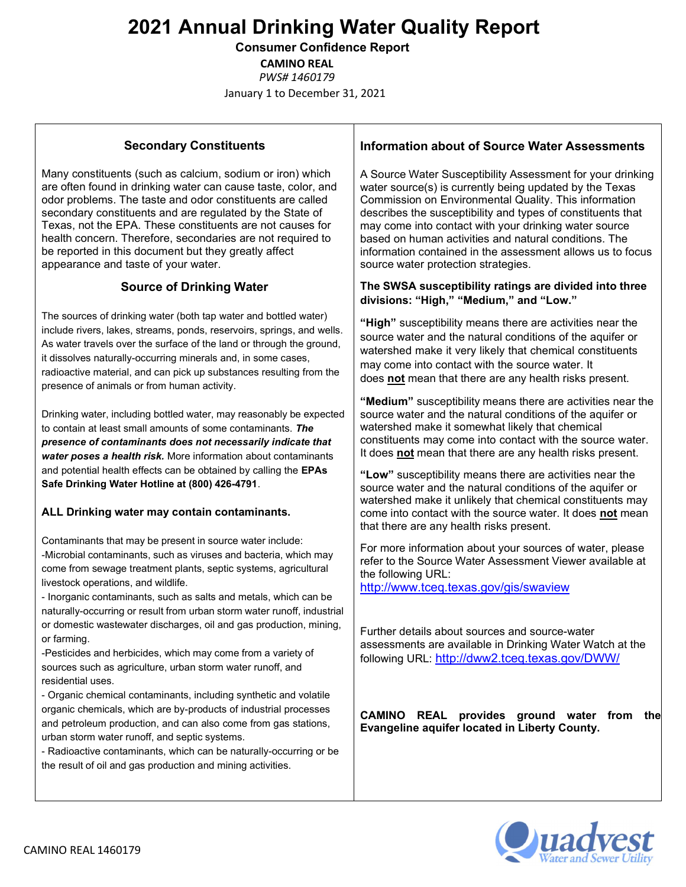Consumer Confidence Report

CAMINO REAL

PWS# 1460179

January 1 to December 31, 2021

### Secondary Constituents

Many constituents (such as calcium, sodium or iron) which are often found in drinking water can cause taste, color, and odor problems. The taste and odor constituents are called secondary constituents and are regulated by the State of Texas, not the EPA. These constituents are not causes for health concern. Therefore, secondaries are not required to be reported in this document but they greatly affect appearance and taste of your water.

### Source of Drinking Water

The sources of drinking water (both tap water and bottled water) include rivers, lakes, streams, ponds, reservoirs, springs, and wells. As water travels over the surface of the land or through the ground, it dissolves naturally-occurring minerals and, in some cases, radioactive material, and can pick up substances resulting from the presence of animals or from human activity.

Drinking water, including bottled water, may reasonably be expected to contain at least small amounts of some contaminants. The presence of contaminants does not necessarily indicate that water poses a health risk. More information about contaminants and potential health effects can be obtained by calling the EPAs Safe Drinking Water Hotline at (800) 426-4791.

### ALL Drinking water may contain contaminants.

Contaminants that may be present in source water include: -Microbial contaminants, such as viruses and bacteria, which may come from sewage treatment plants, septic systems, agricultural livestock operations, and wildlife.

- Inorganic contaminants, such as salts and metals, which can be naturally-occurring or result from urban storm water runoff, industrial or domestic wastewater discharges, oil and gas production, mining, or farming.

-Pesticides and herbicides, which may come from a variety of sources such as agriculture, urban storm water runoff, and residential uses.

- Organic chemical contaminants, including synthetic and volatile organic chemicals, which are by-products of industrial processes and petroleum production, and can also come from gas stations, urban storm water runoff, and septic systems.

- Radioactive contaminants, which can be naturally-occurring or be the result of oil and gas production and mining activities.

### Information about of Source Water Assessments

A Source Water Susceptibility Assessment for your drinking water source(s) is currently being updated by the Texas Commission on Environmental Quality. This information describes the susceptibility and types of constituents that may come into contact with your drinking water source based on human activities and natural conditions. The information contained in the assessment allows us to focus source water protection strategies.

#### The SWSA susceptibility ratings are divided into three divisions: "High," "Medium," and "Low."

"High" susceptibility means there are activities near the source water and the natural conditions of the aquifer or watershed make it very likely that chemical constituents may come into contact with the source water. It does not mean that there are any health risks present.

"Medium" susceptibility means there are activities near the source water and the natural conditions of the aquifer or watershed make it somewhat likely that chemical constituents may come into contact with the source water. It does not mean that there are any health risks present.

"Low" susceptibility means there are activities near the source water and the natural conditions of the aquifer or watershed make it unlikely that chemical constituents may come into contact with the source water. It does not mean that there are any health risks present.

For more information about your sources of water, please refer to the Source Water Assessment Viewer available at the following URL:

http://www.tceq.texas.gov/gis/swaview

Further details about sources and source-water assessments are available in Drinking Water Watch at the following URL: http://dww2.tceq.texas.gov/DWW/

CAMINO REAL provides ground water from the Evangeline aquifer located in Liberty County.